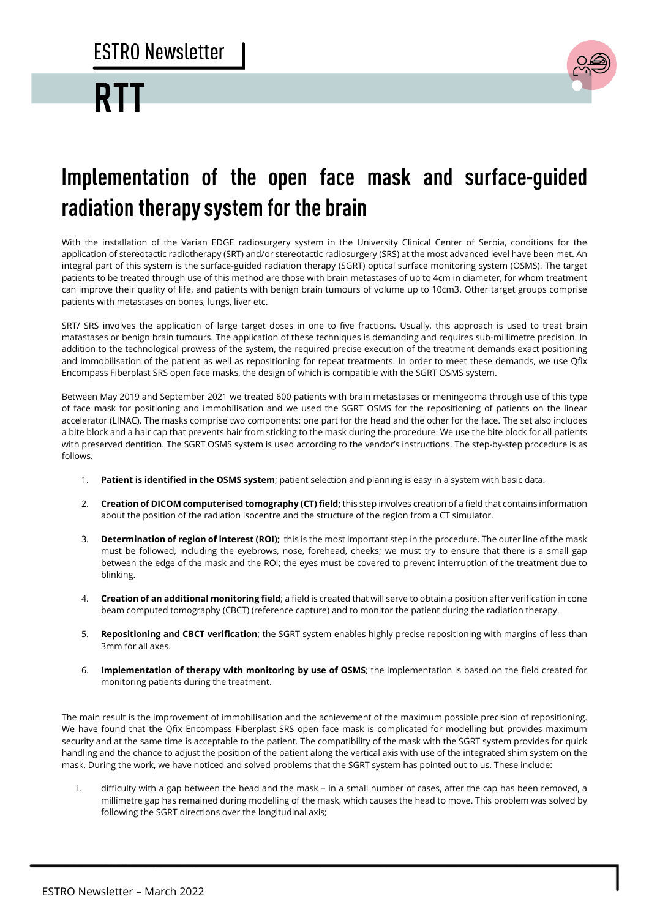## **RT**



## Implementation of the open face mask and surface-guided radiation therapy system for the brain

With the installation of the Varian EDGE radiosurgery system in the University Clinical Center of Serbia, conditions for the application of stereotactic radiotherapy (SRT) and/or stereotactic radiosurgery (SRS) at the most advanced level have been met. An integral part of this system is the surface-guided radiation therapy (SGRT) optical surface monitoring system (OSMS). The target patients to be treated through use of this method are those with brain metastases of up to 4cm in diameter, for whom treatment can improve their quality of life, and patients with benign brain tumours of volume up to 10cm3. Other target groups comprise patients with metastases on bones, lungs, liver etc.

SRT/ SRS involves the application of large target doses in one to five fractions. Usually, this approach is used to treat brain matastases or benign brain tumours. The application of these techniques is demanding and requires sub-millimetre precision. In addition to the technological prowess of the system, the required precise execution of the treatment demands exact positioning and immobilisation of the patient as well as repositioning for repeat treatments. In order to meet these demands, we use Qfix Encompass Fiberplast SRS open face masks, the design of which is compatible with the SGRT OSMS system.

Between May 2019 and September 2021 we treated 600 patients with brain metastases or meningeoma through use of this type of face mask for positioning and immobilisation and we used the SGRT OSMS for the repositioning of patients on the linear accelerator (LINAC). The masks comprise two components: one part for the head and the other for the face. The set also includes a bite block and a hair cap that prevents hair from sticking to the mask during the procedure. We use the bite block for all patients with preserved dentition. The SGRT OSMS system is used according to the vendor's instructions. The step-by-step procedure is as follows.

- 1. **Patient is identified in the OSMS system**; patient selection and planning is easy in a system with basic data.
- 2. **Creation of DICOM computerised tomography (CT) field;** this step involves creation of a field that contains information about the position of the radiation isocentre and the structure of the region from a CT simulator.
- 3. **Determination of region of interest (ROI);** this is the most important step in the procedure. The outer line of the mask must be followed, including the eyebrows, nose, forehead, cheeks; we must try to ensure that there is a small gap between the edge of the mask and the ROI; the eyes must be covered to prevent interruption of the treatment due to blinking.
- 4. **Creation of an additional monitoring field**; a field is created that will serve to obtain a position after verification in cone beam computed tomography (CBCT) (reference capture) and to monitor the patient during the radiation therapy.
- 5. **Repositioning and CBCT verification**; the SGRT system enables highly precise repositioning with margins of less than 3mm for all axes.
- 6. **Implementation of therapy with monitoring by use of OSMS**; the implementation is based on the field created for monitoring patients during the treatment.

The main result is the improvement of immobilisation and the achievement of the maximum possible precision of repositioning. We have found that the Qfix Encompass Fiberplast SRS open face mask is complicated for modelling but provides maximum security and at the same time is acceptable to the patient. The compatibility of the mask with the SGRT system provides for quick handling and the chance to adjust the position of the patient along the vertical axis with use of the integrated shim system on the mask. During the work, we have noticed and solved problems that the SGRT system has pointed out to us. These include:

i. difficulty with a gap between the head and the mask – in a small number of cases, after the cap has been removed, a millimetre gap has remained during modelling of the mask, which causes the head to move. This problem was solved by following the SGRT directions over the longitudinal axis;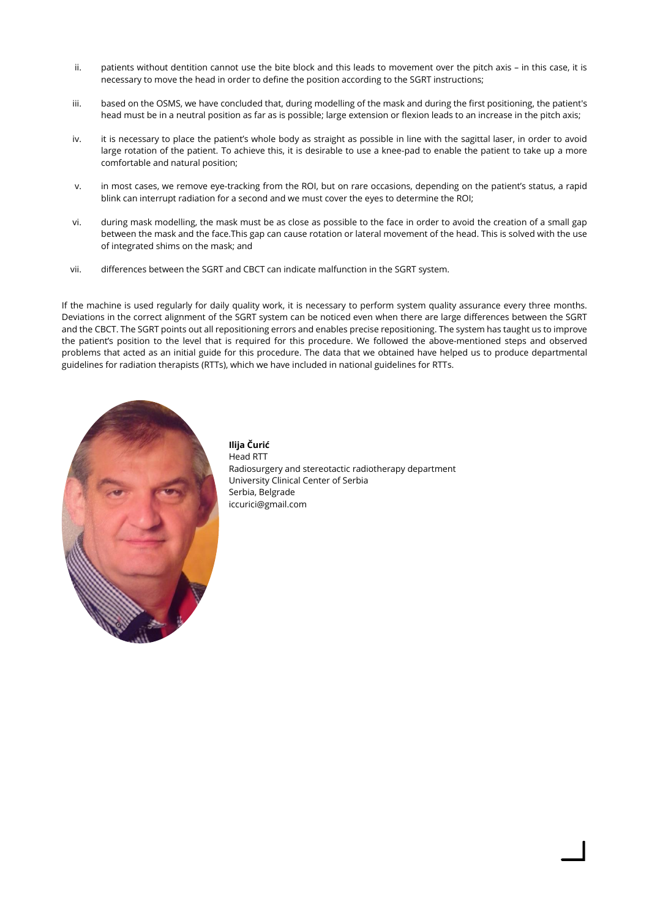- ii. patients without dentition cannot use the bite block and this leads to movement over the pitch axis in this case, it is necessary to move the head in order to define the position according to the SGRT instructions;
- iii. based on the OSMS, we have concluded that, during modelling of the mask and during the first positioning, the patient's head must be in a neutral position as far as is possible; large extension or flexion leads to an increase in the pitch axis;
- iv. it is necessary to place the patient's whole body as straight as possible in line with the sagittal laser, in order to avoid large rotation of the patient. To achieve this, it is desirable to use a knee-pad to enable the patient to take up a more comfortable and natural position;
- v. in most cases, we remove eye-tracking from the ROI, but on rare occasions, depending on the patient's status, a rapid blink can interrupt radiation for a second and we must cover the eyes to determine the ROI;
- vi. during mask modelling, the mask must be as close as possible to the face in order to avoid the creation of a small gap between the mask and the face.This gap can cause rotation or lateral movement of the head. This is solved with the use of integrated shims on the mask; and
- vii. differences between the SGRT and CBCT can indicate malfunction in the SGRT system.

If the machine is used regularly for daily quality work, it is necessary to perform system quality assurance every three months. Deviations in the correct alignment of the SGRT system can be noticed even when there are large differences between the SGRT and the CBCT. The SGRT points out all repositioning errors and enables precise repositioning. The system has taught us to improve the patient's position to the level that is required for this procedure. We followed the above-mentioned steps and observed problems that acted as an initial guide for this procedure. The data that we obtained have helped us to produce departmental guidelines for radiation therapists (RTTs), which we have included in national guidelines for RTTs.



**Ilija Čurić**  Head RTT Radiosurgery and stereotactic radiotherapy department University Clinical Center of Serbia Serbia, Belgrade [iccurici@gmail.com](mailto:iccurici@gmail.com)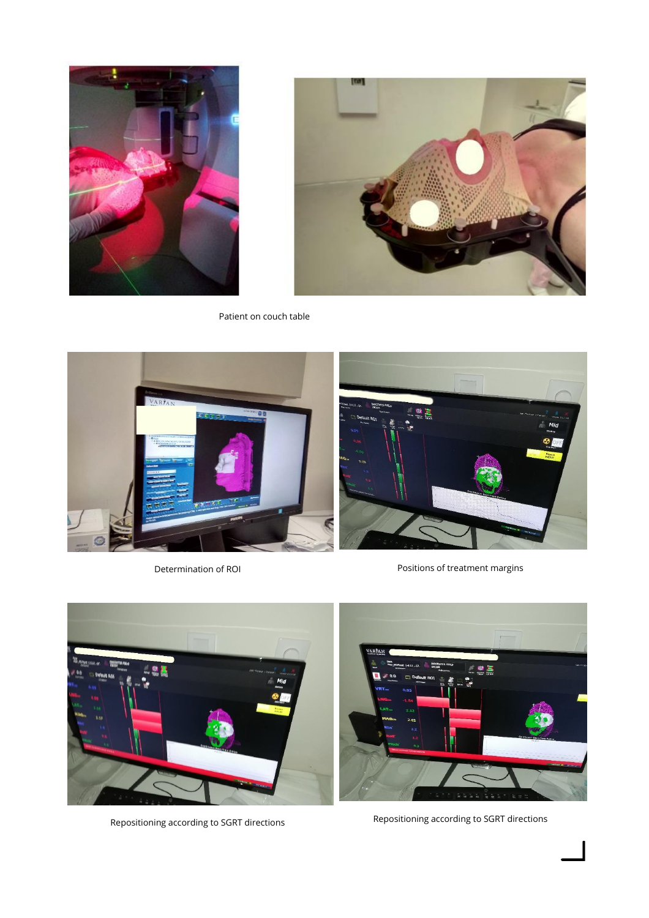



Patient on couch table



Determination of ROI **Positions** of treatment margins





Repositioning according to SGRT directions Repositioning according to SGRT directions